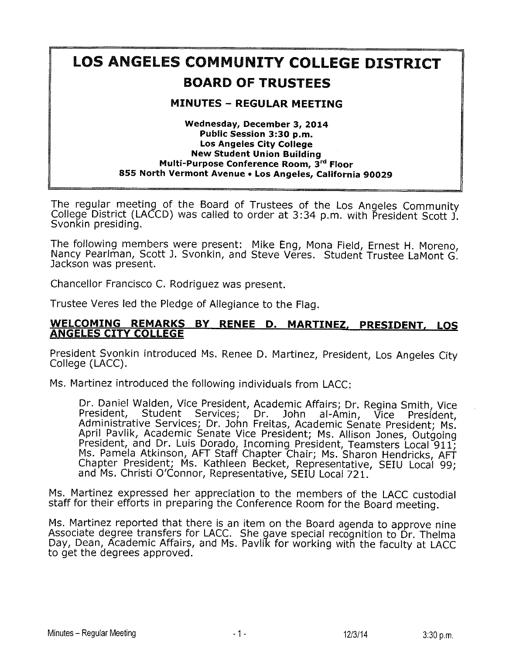# LOS ANGELES COMMUNITY COLLEGE DISTRICT BOARD OF TRUSTEES

# **MINUTES - REGULAR MEETING**

Wednesday/ December 3, 2014 Public Session 3:30 p.m. Los Angeles City College New Student Union Building Multi-Purpose Conference Room, 3rd Floor 855 North Vermont Avenue » Los Angeles, California 90029

The regular meeting of the Board of Trustees of the Los Angeles Community College District (LACCD) was called to order at 3:34 p.m. with President Scott J. Svonkin presiding.

The following members were present: Mike Eng, Mona Field, Ernest H. Moreno, Nancy Pearlman, Scott J. Svonkin, and Steve Veres. Student Trustee LaMont G. Jackson was present.

Chancellor Francisco C. Rodriguez was present.

Trustee Veres led the Pledge of Allegiance to the Flag.

### WELCOMING REMARKS BY RENEE D. MARTINEZ, PRESIDENT, LOS ANGELES CITY COLLEGE

President Svonkin introduced Ms. Renee D. Martinez, President, Los Angeles City College (LACC).

Ms. Martinez introduced the following individuals from LACC:

Dr. Daniel Walden, Vice President, Academic Affairs; Dr. Regina Smith, Vice President, Student Services; Dr. John al-Amin, Vice Pres Administrative Services; Dr. John Freitas, Academic Senate President; Ms.<br>April Pavlik, Academic Senate Vice President; Ms. Allison Jones, Outgoing President, and Dr. Luis Dorado, Incoming President, Teamsters Local 911;<br>Ms. Pamela Atkinson, AFT Staff Chapter Chair; Ms. Sharon Hendricks, AFT Chapter President; Ms. Kathleen Becket, Representative, SEIU Local 99; and Ms. Christi O'Connor, Representative, SEIU Local 721.

Ms. Martinez expressed her appreciation to the members of the LACC custodial staff for their efforts in preparing the Conference Room for the Board meeting.

Ms. Martinez reported that there is an item on the Board agenda to approve nine Associate degree transfers for LACC. She gave special recognition to Dr. Thelma Day, Dean, Academic Affairs, and Ms. Pavlik for working with the faculty at LACC to get the degrees approved.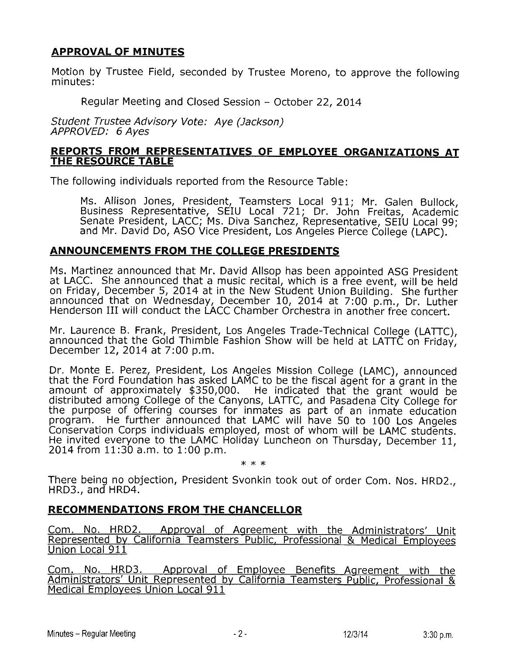# APPROVAL OF MINUTES

Motion by Trustee Field, seconded by Trustee Moreno, to approve the following minutes:

Regular Meeting and Closed Session - October 22, 2014

Student Trustee Advisory Vote: Aye (Jackson) APPROVED: 6 Ayes

#### REPORTS FROM REPRESENTATIVES OF EMPLOYEE ORGANIZATIONS AT THE RESOURCE TABLE

The following individuals reported from the Resource Table:

Ms. Allison Jones, President, Teamsters Local 911; Mr. Galen Bullock, Business Representative, SEIU Local 721; Dr. John Freitas, Acad Senate President, LACC; Ms. Diva Sanchez, Representative, SEIU Lo and Mr. David Do, ASO Vice President, Los Angeles Pierce College (LAPC).

# ANNOUNCEMENTS FROM THE COLLEGE PRESIDENTS

Ms. Martinez announced that Mr. David Allsop has been appointed ASG President at LACC. She announced that a music recital, which is a free event, will be held on Friday, December 5, 2014 at in the New Student Union Building. She further announced that on Wednesday, December 10, 2014 at 7:00 p.m., Dr. I Henderson III will conduct the LACC Chamber Orchestra in another free cor

Mr. Laurence B. Frank, President, Los Angeles Trade-Technical College (LATTC), announced that the Gold Thimble Fashion Show will be held at LATTC on Friday. December 12, 2014 at 7:00 p.m.

Dr. Monte E. Perez, President, Los Angeles Mission College (LAMC), an that the Ford Foundation has asked LAMC to be the fiscal agent for a g amount of approximately \$350,000. He indicated that the grant would be distributed among College of the Canyons, LATTC, and Pasadena City College for the purpose of offering courses for inmates as part of an inmate ed program. He further announced that LAMC will have 50 to 100 Los / Conservation Corps individuals employed, most of whom will be LAMC students. He invited everyone to the LAMC Holiday Luncheon on Thursday, December 11, 2014 from 11:30 a.m. to 1:00 p.m.

\* \* \*:

There being no objection, President Svonkin took out of order Com. Nos. HRD2., HRD3./ and HRD4.

# RECOMMENDATIONS FROM THE CHANCELLOR

Com. No. HRD2. Approval of Agreement with the Administrators' Unit Represented by California Teamsters "Public, Professional & Medical Employees Union Local 911

Com. No. HRD3. Approval of Employee Benefits Agreement with the Administrators' Unit Represented by California Teamsters Public. Professional & Medical Employees Union Local 911